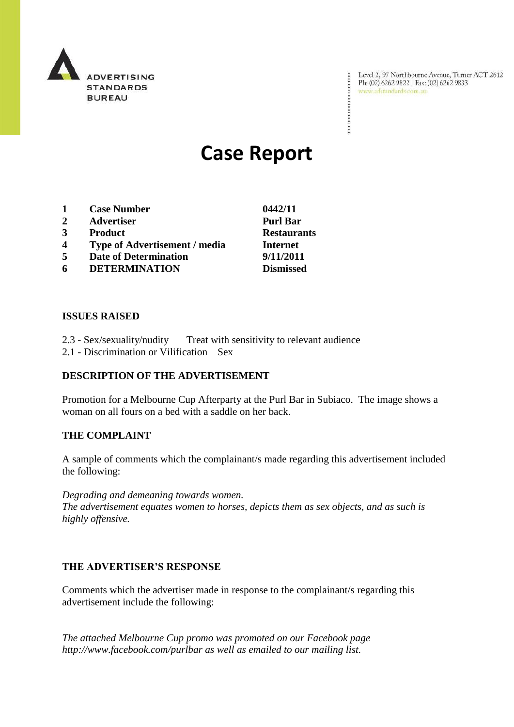

Level 2, 97 Northbourne Avenue, Turner ACT 2612<br>Ph: (02) 6262 9822 | Fax: (02) 6262 9833<br>www.adstandards.com.au

÷

# **Case Report**

- **1 Case Number 0442/11**
- **2 Advertiser Purl Bar**
- **3 Product Restaurants**
- **4 Type of Advertisement / media Internet**
- **5 Date of Determination 9/11/2011**
- **6 DETERMINATION Dismissed**

**ISSUES RAISED**

- 2.3 Sex/sexuality/nudity Treat with sensitivity to relevant audience
- 2.1 Discrimination or Vilification Sex

# **DESCRIPTION OF THE ADVERTISEMENT**

Promotion for a Melbourne Cup Afterparty at the Purl Bar in Subiaco. The image shows a woman on all fours on a bed with a saddle on her back.

### **THE COMPLAINT**

A sample of comments which the complainant/s made regarding this advertisement included the following:

*Degrading and demeaning towards women.*

*The advertisement equates women to horses, depicts them as sex objects, and as such is highly offensive.*

### **THE ADVERTISER'S RESPONSE**

Comments which the advertiser made in response to the complainant/s regarding this advertisement include the following:

*The attached Melbourne Cup promo was promoted on our Facebook page http://www.facebook.com/purlbar as well as emailed to our mailing list.*